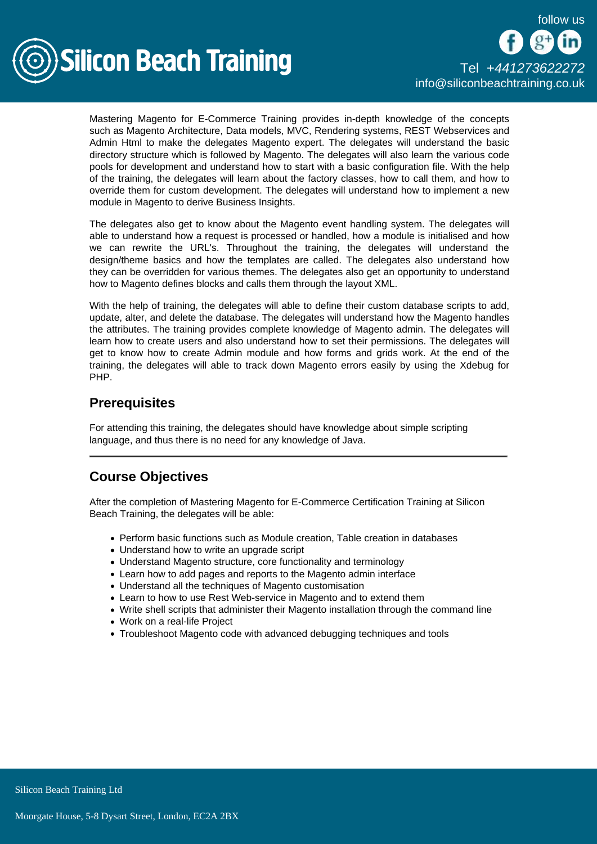follow us



Mastering Magento for E-Commerce Training provides in-depth knowledge of the concepts such as Magento Architecture, Data models, MVC, Rendering systems, REST Webservices and Admin Html to make the delegates Magento expert. The delegates will understand the basic directory structure which is followed by Magento. The delegates will also learn the various code pools for development and understand how to start with a basic configuration file. With the help of the training, the delegates will learn about the factory classes, how to call them, and how to override them for custom development. The delegates will understand how to implement a new module in Magento to derive Business Insights.

The delegates also get to know about the Magento event handling system. The delegates will able to understand how a request is processed or handled, how a module is initialised and how we can rewrite the URL's. Throughout the training, the delegates will understand the design/theme basics and how the templates are called. The delegates also understand how they can be overridden for various themes. The delegates also get an opportunity to understand how to Magento defines blocks and calls them through the layout XML.

With the help of training, the delegates will able to define their custom database scripts to add, update, alter, and delete the database. The delegates will understand how the Magento handles the attributes. The training provides complete knowledge of Magento admin. The delegates will learn how to create users and also understand how to set their permissions. The delegates will get to know how to create Admin module and how forms and grids work. At the end of the training, the delegates will able to track down Magento errors easily by using the Xdebug for PHP.

## **Prerequisites**

For attending this training, the delegates should have knowledge about simple scripting language, and thus there is no need for any knowledge of Java.

# Course Objectives

After the completion of Mastering Magento for E-Commerce Certification Training at Silicon Beach Training, the delegates will be able:

- Perform basic functions such as Module creation, Table creation in databases
- Understand how to write an upgrade script
- Understand Magento structure, core functionality and terminology
- Learn how to add pages and reports to the Magento admin interface
- Understand all the techniques of Magento customisation
- Learn to how to use Rest Web-service in Magento and to extend them
- Write shell scripts that administer their Magento installation through the command line
- Work on a real-life Project
- Troubleshoot Magento code with advanced debugging techniques and tools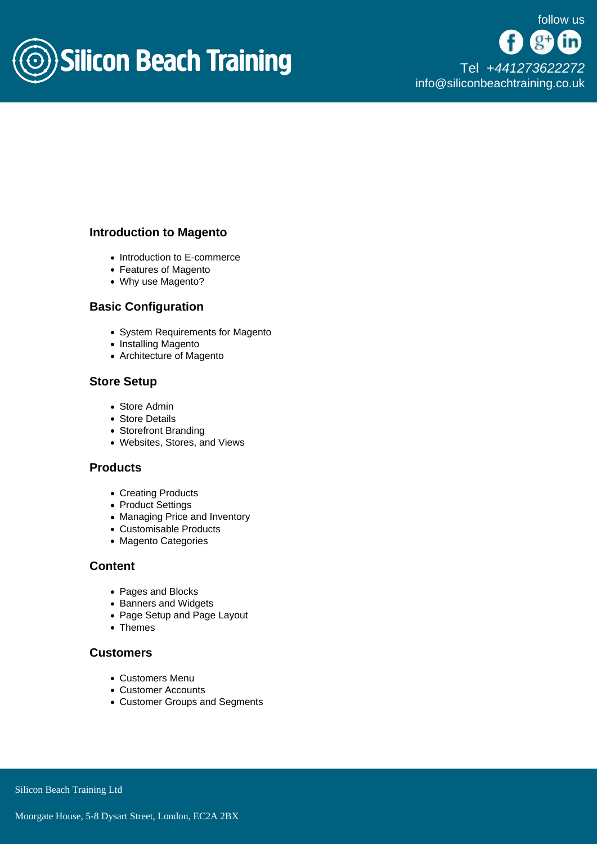

#### Introduction to Magento

- Introduction to E-commerce
- Features of Magento
- Why use Magento?

#### Basic Configuration

- System Requirements for Magento
- Installing Magento
- Architecture of Magento

## Store Setup

- Store Admin
- Store Details
- Storefront Branding
- Websites, Stores, and Views

#### **Products**

- Creating Products
- Product Settings
- Managing Price and Inventory
- Customisable Products
- Magento Categories

#### **Content**

- Pages and Blocks
- Banners and Widgets
- Page Setup and Page Layout
- Themes

#### **Customers**

- Customers Menu
- Customer Accounts
- Customer Groups and Segments

Silicon Beach Training Ltd